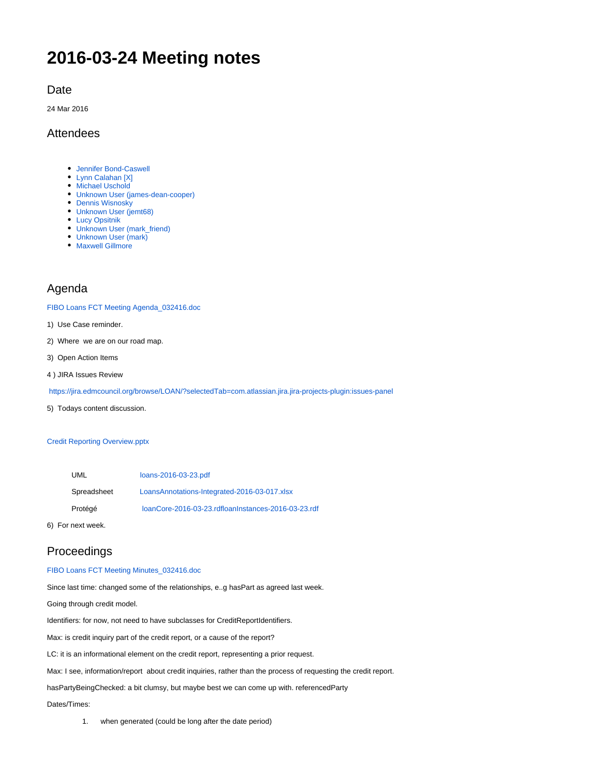# **2016-03-24 Meeting notes**

### Date

24 Mar 2016

### Attendees

- [Jennifer Bond-Caswell](https://wiki.edmcouncil.org/display/~JENNIFER.CASWELL)
- [Lynn Calahan \[X\]](https://wiki.edmcouncil.org/display/~lynncalahan)
- [Michael Uschold](https://wiki.edmcouncil.org/display/~uscholdm)
- [Unknown User \(james-dean-cooper\)](https://wiki.edmcouncil.org/display/~james-dean-cooper)
- [Dennis Wisnosky](https://wiki.edmcouncil.org/display/~DennisWisnosky)
- [Unknown User \(jemt68\)](https://wiki.edmcouncil.org/display/~jemt68)
- [Lucy Opsitnik](https://wiki.edmcouncil.org/display/~abboluc)
- [Unknown User \(mark\\_friend\)](https://wiki.edmcouncil.org/display/~Mark_Friend)
- [Unknown User \(mark\)](https://wiki.edmcouncil.org/display/~Mark) • [Maxwell Gillmore](https://wiki.edmcouncil.org/display/~maxwellrgillmore)
- 

### Agenda

[FIBO Loans FCT Meeting Agenda\\_032416.doc](https://wiki.edmcouncil.org/download/attachments/6357155/FIBO%20Loans%20FCT%20Meeting%20Agenda_032416.doc?version=1&modificationDate=1458777636000&api=v2)

- 1) Use Case reminder.
- 2) Where we are on our road map.
- 3) Open Action Items
- 4 ) JIRA Issues Review

<https://jira.edmcouncil.org/browse/LOAN/?selectedTab=com.atlassian.jira.jira-projects-plugin:issues-panel>

5) Todays content discussion.

#### [Credit Reporting Overview.pptx](https://wiki.edmcouncil.org/download/attachments/6357155/Credit%20Reporting%20Overview.pptx?version=1&modificationDate=1458845988000&api=v2)

| UML         | loans-2016-03-23.pdf                                |
|-------------|-----------------------------------------------------|
| Spreadsheet | LoansAnnotations-Integrated-2016-03-017.xlsx        |
| Protégé     | loanCore-2016-03-23.rdfloanInstances-2016-03-23.rdf |
|             |                                                     |

6) For next week.

### Proceedings

#### [FIBO Loans FCT Meeting Minutes\\_032416.doc](https://wiki.edmcouncil.org/download/attachments/6357155/FIBO%20Loans%20FCT%20Meeting%20Minutes_032416.doc?version=1&modificationDate=1459272254000&api=v2)

Since last time: changed some of the relationships, e..g hasPart as agreed last week.

Going through credit model.

Identifiers: for now, not need to have subclasses for CreditReportIdentifiers.

Max: is credit inquiry part of the credit report, or a cause of the report?

LC: it is an informational element on the credit report, representing a prior request.

Max: I see, information/report about credit inquiries, rather than the process of requesting the credit report.

hasPartyBeingChecked: a bit clumsy, but maybe best we can come up with. referencedParty

Dates/Times:

1. when generated (could be long after the date period)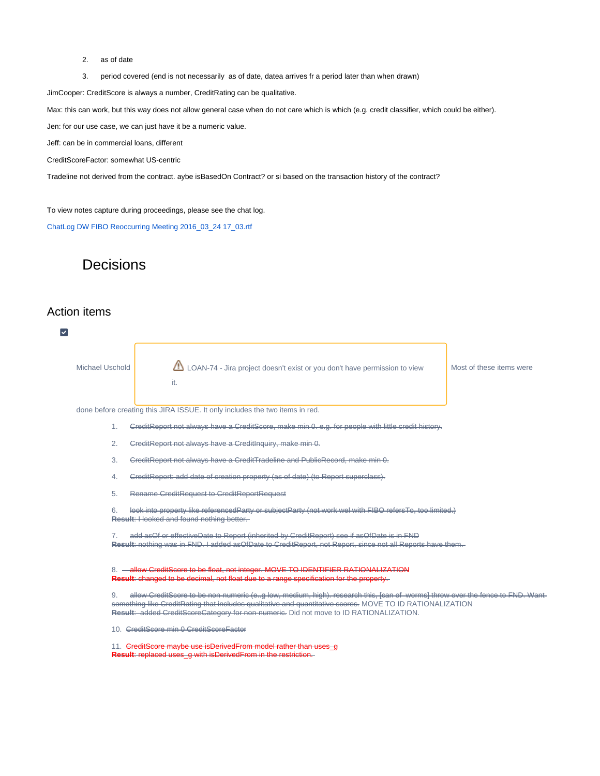- 2. as of date
- 3. period covered (end is not necessarily as of date, datea arrives fr a period later than when drawn)

JimCooper: CreditScore is always a number, CreditRating can be qualitative.

Max: this can work, but this way does not allow general case when do not care which is which (e.g. credit classifier, which could be either).

Jen: for our use case, we can just have it be a numeric value.

Jeff: can be in commercial loans, different

CreditScoreFactor: somewhat US-centric

Tradeline not derived from the contract. aybe isBasedOn Contract? or si based on the transaction history of the contract?

To view notes capture during proceedings, please see the chat log.

[ChatLog DW FIBO Reoccurring Meeting 2016\\_03\\_24 17\\_03.rtf](https://wiki.edmcouncil.org/download/attachments/6357155/ChatLog%20DW%20FIBO%20Reoccurring%20Meeting%202016_03_24%2017_03.rtf?version=1&modificationDate=1459273606000&api=v2)

## **Decisions**

### Action items

 $\overline{\mathbf{v}}$ 

| Michael Uschold |    | LOAN-74 - Jira project doesn't exist or you don't have permission to view<br>it.                                                                                                                                                                                                                                                    | Most of these items were |
|-----------------|----|-------------------------------------------------------------------------------------------------------------------------------------------------------------------------------------------------------------------------------------------------------------------------------------------------------------------------------------|--------------------------|
|                 |    | done before creating this JIRA ISSUE. It only includes the two items in red.                                                                                                                                                                                                                                                        |                          |
|                 | 1. | GreditReport not always have a GreditScore, make min 0, e.g. for people with little credit history.                                                                                                                                                                                                                                 |                          |
|                 | 2. | GreditReport not always have a CreditInguiry, make min 0.                                                                                                                                                                                                                                                                           |                          |
|                 | 3. | GreditReport not always have a CreditTradeline and PublicRecord, make min 0.                                                                                                                                                                                                                                                        |                          |
|                 | 4. | CreditReport: add date of creation property (as of date) (to Report superclass).                                                                                                                                                                                                                                                    |                          |
|                 | 5. | Rename CreditRequest to CreditReportRequest                                                                                                                                                                                                                                                                                         |                          |
|                 | 6. | look into property like referencedParty or subjectParty (not work wel with FIBO refersTo, too limited.)<br>Result: I looked and found nothing better.                                                                                                                                                                               |                          |
|                 |    | add asOf or effectiveDate to Report (inherited by CreditReport) see if asOfDate is in FND<br>Result: nothing was in FND. I added asOfDate to CreditReport, not Report, since not all Reports have them.                                                                                                                             |                          |
|                 |    | 8. - allow CreditScore to be float, not integer. MOVE TO IDENTIFIER RATIONALIZATION<br>Result: changed to be decimal, not float due to a range specification for the property.                                                                                                                                                      |                          |
|                 | 9. | allow CreditScore to be non-numeric (e.g low, medium, high). research this, [can of worms] throw over the fence to FND. Want<br>something like CreditRating that includes qualitative and quantitative scores. MOVE TO ID RATIONALIZATION<br>Result: added GreditScoreGategory for non-numerie. Did not move to ID RATIONALIZATION. |                          |
|                 |    | 10. GreditScore min 0 GreditScoreFactor                                                                                                                                                                                                                                                                                             |                          |
|                 |    | 11. GreditScore maybe use isDerivedFrom model rather than uses_g<br>Result: replaced uses_g with isDerivedFrom in the restriction.                                                                                                                                                                                                  |                          |